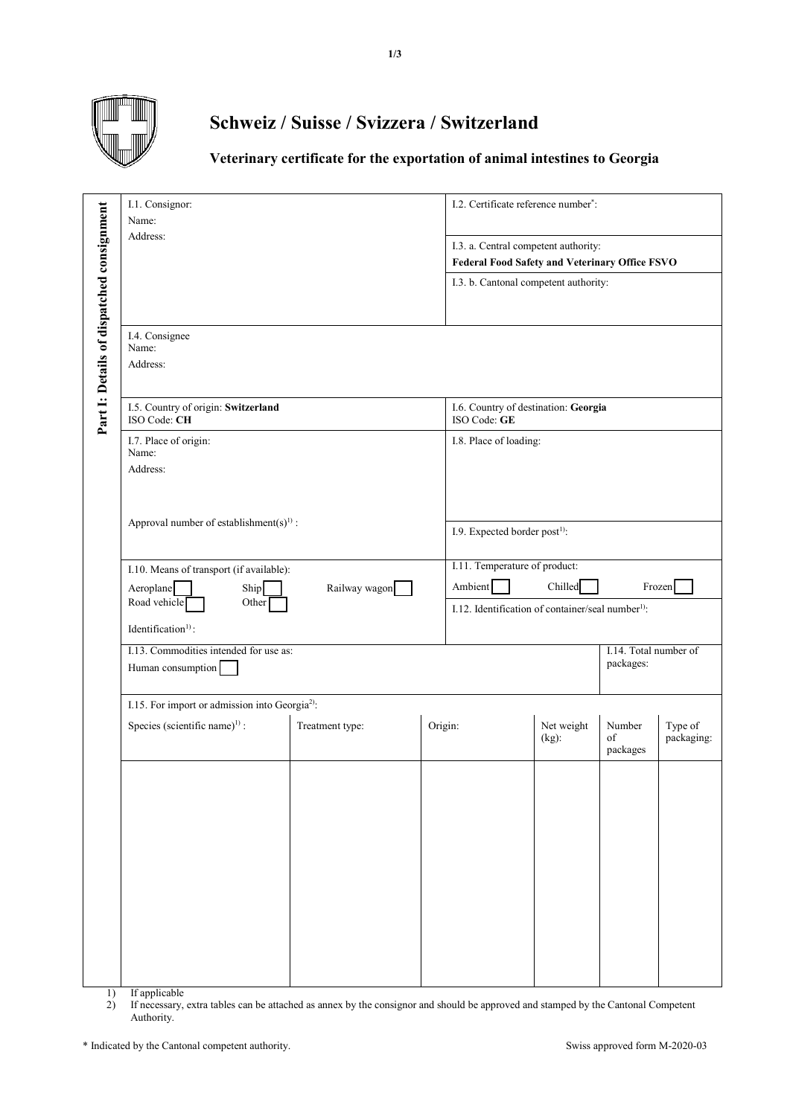

## **Schweiz / Suisse / Svizzera / Switzerland**

## **Veterinary certificate for the exportation of animal intestines to Georgia**

|                                           | I.1. Consignor:<br>Name:<br>Address:                                                                                                      |                 |         | I.2. Certificate reference number <sup>*</sup> :                                              |                        |                                    |                       |  |  |
|-------------------------------------------|-------------------------------------------------------------------------------------------------------------------------------------------|-----------------|---------|-----------------------------------------------------------------------------------------------|------------------------|------------------------------------|-----------------------|--|--|
|                                           |                                                                                                                                           |                 |         | I.3. a. Central competent authority:<br><b>Federal Food Safety and Veterinary Office FSVO</b> |                        |                                    |                       |  |  |
|                                           |                                                                                                                                           |                 |         | I.3. b. Cantonal competent authority:                                                         |                        |                                    |                       |  |  |
| Part I: Details of dispatched consignment | I.4. Consignee<br>Name:<br>Address:                                                                                                       |                 |         |                                                                                               |                        |                                    |                       |  |  |
|                                           | I.5. Country of origin: Switzerland<br>ISO Code: CH                                                                                       |                 |         | I.6. Country of destination: Georgia<br>ISO Code: GE                                          |                        |                                    |                       |  |  |
|                                           | I.7. Place of origin:<br>Name:<br>Address:                                                                                                |                 |         | I.8. Place of loading:                                                                        |                        |                                    |                       |  |  |
|                                           | Approval number of establishment(s) <sup>1)</sup> :                                                                                       |                 |         | I.9. Expected border post <sup>1)</sup> :                                                     |                        |                                    |                       |  |  |
|                                           | I.10. Means of transport (if available):<br>Ship<br>Railway wagon<br>Aeroplane<br>Road vehicle<br>Other<br>Identification <sup>1)</sup> : |                 |         | I.11. Temperature of product:<br>Chilled<br>Ambient<br>Frozen                                 |                        |                                    |                       |  |  |
|                                           |                                                                                                                                           |                 |         | I.12. Identification of container/seal number <sup>1)</sup> :                                 |                        |                                    |                       |  |  |
|                                           | I.13. Commodities intended for use as:<br>Human consumption                                                                               |                 |         |                                                                                               |                        | I.14. Total number of<br>packages: |                       |  |  |
|                                           | I.15. For import or admission into Georgia <sup>2)</sup> :                                                                                |                 |         |                                                                                               |                        |                                    |                       |  |  |
|                                           | Species (scientific name) <sup>1)</sup> :                                                                                                 | Treatment type: | Origin: |                                                                                               | Net weight<br>$(kg)$ : | Number<br>of<br>packages           | Type of<br>packaging: |  |  |
|                                           |                                                                                                                                           |                 |         |                                                                                               |                        |                                    |                       |  |  |

1) If applicable<br>2) If necessary,

2) If necessary, extra tables can be attached as annex by the consignor and should be approved and stamped by the Cantonal Competent Authority.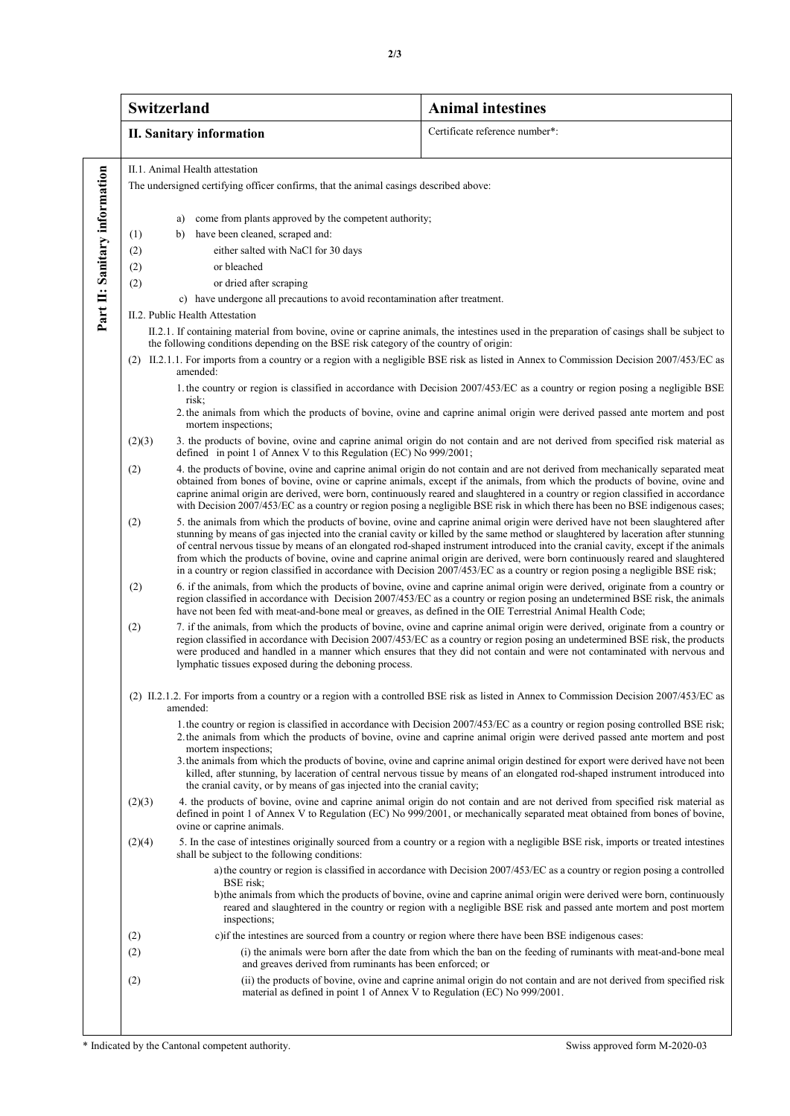|                               | <b>Switzerland</b>                                                                                                                                                                                                                                                      |                                                                                                                                                                                                                                                                                                                                                                                                                                                                                                                                                                                                                                                                               | <b>Animal intestines</b>                                                                                                                                                                                                                                                                                                                                                                            |  |  |  |  |
|-------------------------------|-------------------------------------------------------------------------------------------------------------------------------------------------------------------------------------------------------------------------------------------------------------------------|-------------------------------------------------------------------------------------------------------------------------------------------------------------------------------------------------------------------------------------------------------------------------------------------------------------------------------------------------------------------------------------------------------------------------------------------------------------------------------------------------------------------------------------------------------------------------------------------------------------------------------------------------------------------------------|-----------------------------------------------------------------------------------------------------------------------------------------------------------------------------------------------------------------------------------------------------------------------------------------------------------------------------------------------------------------------------------------------------|--|--|--|--|
|                               |                                                                                                                                                                                                                                                                         | <b>II. Sanitary information</b>                                                                                                                                                                                                                                                                                                                                                                                                                                                                                                                                                                                                                                               | Certificate reference number*:                                                                                                                                                                                                                                                                                                                                                                      |  |  |  |  |
|                               | II.1. Animal Health attestation                                                                                                                                                                                                                                         |                                                                                                                                                                                                                                                                                                                                                                                                                                                                                                                                                                                                                                                                               |                                                                                                                                                                                                                                                                                                                                                                                                     |  |  |  |  |
| Part II: Sanitary information | The undersigned certifying officer confirms, that the animal casings described above:                                                                                                                                                                                   |                                                                                                                                                                                                                                                                                                                                                                                                                                                                                                                                                                                                                                                                               |                                                                                                                                                                                                                                                                                                                                                                                                     |  |  |  |  |
|                               |                                                                                                                                                                                                                                                                         | come from plants approved by the competent authority;<br>a)                                                                                                                                                                                                                                                                                                                                                                                                                                                                                                                                                                                                                   |                                                                                                                                                                                                                                                                                                                                                                                                     |  |  |  |  |
|                               | (1)                                                                                                                                                                                                                                                                     | have been cleaned, scraped and:<br>b)                                                                                                                                                                                                                                                                                                                                                                                                                                                                                                                                                                                                                                         |                                                                                                                                                                                                                                                                                                                                                                                                     |  |  |  |  |
|                               | (2)                                                                                                                                                                                                                                                                     | either salted with NaCl for 30 days                                                                                                                                                                                                                                                                                                                                                                                                                                                                                                                                                                                                                                           |                                                                                                                                                                                                                                                                                                                                                                                                     |  |  |  |  |
|                               | (2)                                                                                                                                                                                                                                                                     | or bleached                                                                                                                                                                                                                                                                                                                                                                                                                                                                                                                                                                                                                                                                   |                                                                                                                                                                                                                                                                                                                                                                                                     |  |  |  |  |
|                               | (2)                                                                                                                                                                                                                                                                     | or dried after scraping                                                                                                                                                                                                                                                                                                                                                                                                                                                                                                                                                                                                                                                       |                                                                                                                                                                                                                                                                                                                                                                                                     |  |  |  |  |
|                               | c) have undergone all precautions to avoid recontamination after treatment.                                                                                                                                                                                             |                                                                                                                                                                                                                                                                                                                                                                                                                                                                                                                                                                                                                                                                               |                                                                                                                                                                                                                                                                                                                                                                                                     |  |  |  |  |
|                               | II.2. Public Health Attestation<br>II.2.1. If containing material from bovine, ovine or caprine animals, the intestines used in the preparation of casings shall be subject to<br>the following conditions depending on the BSE risk category of the country of origin: |                                                                                                                                                                                                                                                                                                                                                                                                                                                                                                                                                                                                                                                                               |                                                                                                                                                                                                                                                                                                                                                                                                     |  |  |  |  |
|                               | (2) II.2.1.1. For imports from a country or a region with a negligible BSE risk as listed in Annex to Commission Decision 2007/453/EC as<br>amended:                                                                                                                    |                                                                                                                                                                                                                                                                                                                                                                                                                                                                                                                                                                                                                                                                               |                                                                                                                                                                                                                                                                                                                                                                                                     |  |  |  |  |
|                               | 1. the country or region is classified in accordance with Decision 2007/453/EC as a country or region posing a negligible BSE<br>risk:                                                                                                                                  |                                                                                                                                                                                                                                                                                                                                                                                                                                                                                                                                                                                                                                                                               |                                                                                                                                                                                                                                                                                                                                                                                                     |  |  |  |  |
|                               |                                                                                                                                                                                                                                                                         | mortem inspections;                                                                                                                                                                                                                                                                                                                                                                                                                                                                                                                                                                                                                                                           | 2. the animals from which the products of bovine, ovine and caprine animal origin were derived passed ante mortem and post                                                                                                                                                                                                                                                                          |  |  |  |  |
|                               | (2)(3)                                                                                                                                                                                                                                                                  | 3. the products of bovine, ovine and caprine animal origin do not contain and are not derived from specified risk material as<br>defined in point 1 of Annex V to this Regulation (EC) No 999/2001;                                                                                                                                                                                                                                                                                                                                                                                                                                                                           |                                                                                                                                                                                                                                                                                                                                                                                                     |  |  |  |  |
|                               | (2)                                                                                                                                                                                                                                                                     | 4. the products of bovine, ovine and caprine animal origin do not contain and are not derived from mechanically separated meat<br>obtained from bones of bovine, ovine or caprine animals, except if the animals, from which the products of bovine, ovine and<br>caprine animal origin are derived, were born, continuously reared and slaughtered in a country or region classified in accordance<br>with Decision 2007/453/EC as a country or region posing a negligible BSE risk in which there has been no BSE indigenous cases;                                                                                                                                         |                                                                                                                                                                                                                                                                                                                                                                                                     |  |  |  |  |
|                               | (2)                                                                                                                                                                                                                                                                     | 5. the animals from which the products of bovine, ovine and caprine animal origin were derived have not been slaughtered after<br>stunning by means of gas injected into the cranial cavity or killed by the same method or slaughtered by laceration after stunning<br>of central nervous tissue by means of an elongated rod-shaped instrument introduced into the cranial cavity, except if the animals<br>from which the products of bovine, ovine and caprine animal origin are derived, were born continuously reared and slaughtered<br>in a country or region classified in accordance with Decision 2007/453/EC as a country or region posing a negligible BSE risk; |                                                                                                                                                                                                                                                                                                                                                                                                     |  |  |  |  |
|                               | (2)                                                                                                                                                                                                                                                                     | 6. if the animals, from which the products of bovine, ovine and caprine animal origin were derived, originate from a country or<br>region classified in accordance with Decision 2007/453/EC as a country or region posing an undetermined BSE risk, the animals<br>have not been fed with meat-and-bone meal or greaves, as defined in the OIE Terrestrial Animal Health Code;                                                                                                                                                                                                                                                                                               |                                                                                                                                                                                                                                                                                                                                                                                                     |  |  |  |  |
|                               | (2)                                                                                                                                                                                                                                                                     | 7. if the animals, from which the products of bovine, ovine and caprine animal origin were derived, originate from a country or<br>region classified in accordance with Decision 2007/453/EC as a country or region posing an undetermined BSE risk, the products<br>were produced and handled in a manner which ensures that they did not contain and were not contaminated with nervous and<br>lymphatic tissues exposed during the deboning process.                                                                                                                                                                                                                       |                                                                                                                                                                                                                                                                                                                                                                                                     |  |  |  |  |
|                               | (2) II.2.1.2. For imports from a country or a region with a controlled BSE risk as listed in Annex to Commission Decision 2007/453/EC as<br>amended:                                                                                                                    |                                                                                                                                                                                                                                                                                                                                                                                                                                                                                                                                                                                                                                                                               |                                                                                                                                                                                                                                                                                                                                                                                                     |  |  |  |  |
|                               |                                                                                                                                                                                                                                                                         | mortem inspections;                                                                                                                                                                                                                                                                                                                                                                                                                                                                                                                                                                                                                                                           | 1. the country or region is classified in accordance with Decision 2007/453/EC as a country or region posing controlled BSE risk;<br>2. the animals from which the products of bovine, ovine and caprine animal origin were derived passed ante mortem and post<br>3. the animals from which the products of bovine, ovine and caprine animal origin destined for export were derived have not been |  |  |  |  |
|                               |                                                                                                                                                                                                                                                                         | the cranial cavity, or by means of gas injected into the cranial cavity;                                                                                                                                                                                                                                                                                                                                                                                                                                                                                                                                                                                                      | killed, after stunning, by laceration of central nervous tissue by means of an elongated rod-shaped instrument introduced into                                                                                                                                                                                                                                                                      |  |  |  |  |
|                               | (2)(3)                                                                                                                                                                                                                                                                  | ovine or caprine animals.                                                                                                                                                                                                                                                                                                                                                                                                                                                                                                                                                                                                                                                     | 4. the products of bovine, ovine and caprine animal origin do not contain and are not derived from specified risk material as<br>defined in point 1 of Annex V to Regulation (EC) No 999/2001, or mechanically separated meat obtained from bones of bovine,                                                                                                                                        |  |  |  |  |
|                               | (2)(4)                                                                                                                                                                                                                                                                  | shall be subject to the following conditions:                                                                                                                                                                                                                                                                                                                                                                                                                                                                                                                                                                                                                                 | 5. In the case of intestines originally sourced from a country or a region with a negligible BSE risk, imports or treated intestines                                                                                                                                                                                                                                                                |  |  |  |  |
|                               |                                                                                                                                                                                                                                                                         | BSE risk;<br>inspections;                                                                                                                                                                                                                                                                                                                                                                                                                                                                                                                                                                                                                                                     | a) the country or region is classified in accordance with Decision 2007/453/EC as a country or region posing a controlled<br>b) the animals from which the products of bovine, ovine and caprine animal origin were derived were born, continuously<br>reared and slaughtered in the country or region with a negligible BSE risk and passed ante mortem and post mortem                            |  |  |  |  |
|                               | (2)                                                                                                                                                                                                                                                                     |                                                                                                                                                                                                                                                                                                                                                                                                                                                                                                                                                                                                                                                                               | c) if the intestines are sourced from a country or region where there have been BSE indigenous cases:                                                                                                                                                                                                                                                                                               |  |  |  |  |
|                               | (2)                                                                                                                                                                                                                                                                     | and greaves derived from ruminants has been enforced; or                                                                                                                                                                                                                                                                                                                                                                                                                                                                                                                                                                                                                      | (i) the animals were born after the date from which the ban on the feeding of ruminants with meat-and-bone meal                                                                                                                                                                                                                                                                                     |  |  |  |  |
|                               | (2)                                                                                                                                                                                                                                                                     | material as defined in point 1 of Annex V to Regulation (EC) No 999/2001.                                                                                                                                                                                                                                                                                                                                                                                                                                                                                                                                                                                                     | (ii) the products of bovine, ovine and caprine animal origin do not contain and are not derived from specified risk                                                                                                                                                                                                                                                                                 |  |  |  |  |
|                               |                                                                                                                                                                                                                                                                         |                                                                                                                                                                                                                                                                                                                                                                                                                                                                                                                                                                                                                                                                               |                                                                                                                                                                                                                                                                                                                                                                                                     |  |  |  |  |

\* Indicated by the Cantonal competent authority. Swiss approved form M-2020-03